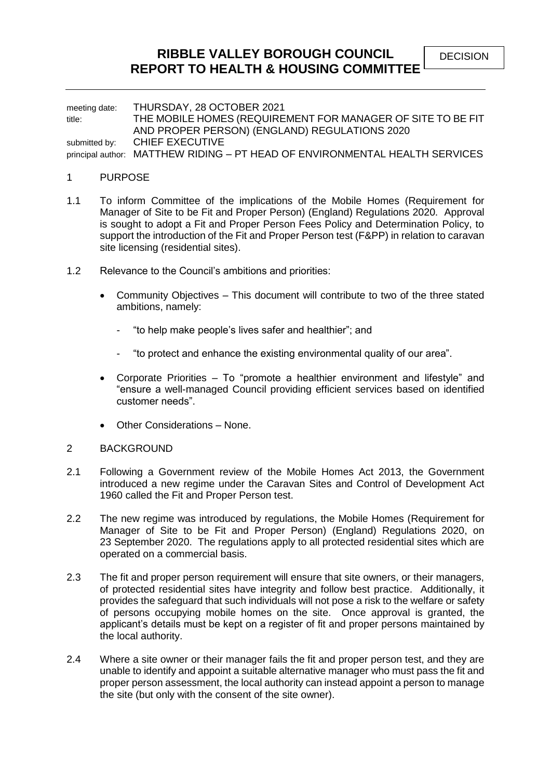# **RIBBLE VALLEY BOROUGH COUNCIL REPORT TO HEALTH & HOUSING COMMITTEE**

meeting date: THURSDAY, 28 OCTOBER 2021 title: THE MOBILE HOMES (REQUIREMENT FOR MANAGER OF SITE TO BE FIT AND PROPER PERSON) (ENGLAND) REGULATIONS 2020 submitted by: CHIEF EXECUTIVE principal author: MATTHEW RIDING – PT HEAD OF ENVIRONMENTAL HEALTH SERVICES

#### 1 PURPOSE

- 1.1 To inform Committee of the implications of the Mobile Homes (Requirement for Manager of Site to be Fit and Proper Person) (England) Regulations 2020. Approval is sought to adopt a Fit and Proper Person Fees Policy and Determination Policy, to support the introduction of the Fit and Proper Person test (F&PP) in relation to caravan site licensing (residential sites).
- 1.2 Relevance to the Council's ambitions and priorities:
	- Community Objectives This document will contribute to two of the three stated ambitions, namely:
		- "to help make people's lives safer and healthier"; and
		- "to protect and enhance the existing environmental quality of our area".
	- Corporate Priorities To "promote a healthier environment and lifestyle" and "ensure a well-managed Council providing efficient services based on identified customer needs".
	- Other Considerations None.

#### 2 BACKGROUND

- 2.1 Following a Government review of the Mobile Homes Act 2013, the Government introduced a new regime under the Caravan Sites and Control of Development Act 1960 called the Fit and Proper Person test.
- 2.2 The new regime was introduced by regulations, the Mobile Homes (Requirement for Manager of Site to be Fit and Proper Person) (England) Regulations 2020, on 23 September 2020. The regulations apply to all protected residential sites which are operated on a commercial basis.
- 2.3 The fit and proper person requirement will ensure that site owners, or their managers, of protected residential sites have integrity and follow best practice. Additionally, it provides the safeguard that such individuals will not pose a risk to the welfare or safety of persons occupying mobile homes on the site. Once approval is granted, the applicant's details must be kept on a register of fit and proper persons maintained by the local authority.
- 2.4 Where a site owner or their manager fails the fit and proper person test, and they are unable to identify and appoint a suitable alternative manager who must pass the fit and proper person assessment, the local authority can instead appoint a person to manage the site (but only with the consent of the site owner).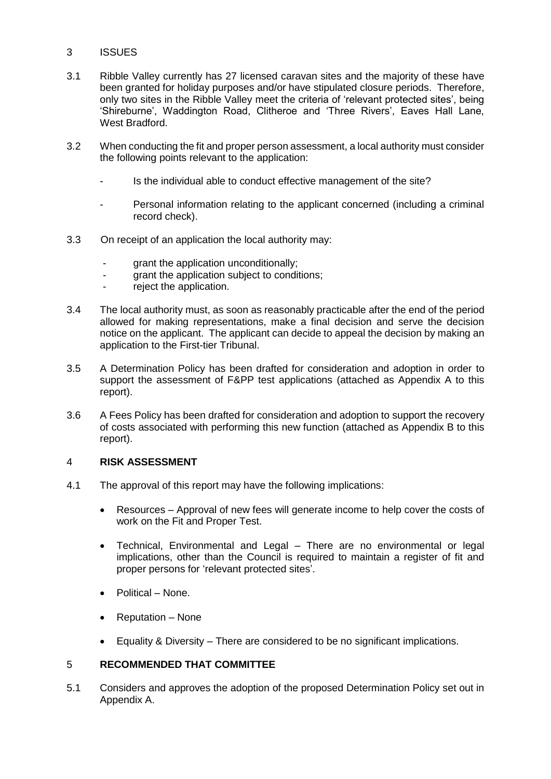## 3 ISSUES

- 3.1 Ribble Valley currently has 27 licensed caravan sites and the majority of these have been granted for holiday purposes and/or have stipulated closure periods. Therefore, only two sites in the Ribble Valley meet the criteria of 'relevant protected sites', being 'Shireburne', Waddington Road, Clitheroe and 'Three Rivers', Eaves Hall Lane, West Bradford.
- 3.2 When conducting the fit and proper person assessment, a local authority must consider the following points relevant to the application:
	- Is the individual able to conduct effective management of the site?
	- Personal information relating to the applicant concerned (including a criminal record check).
- 3.3 On receipt of an application the local authority may:
	- grant the application unconditionally;
	- grant the application subject to conditions;
	- reject the application.
- 3.4 The local authority must, as soon as reasonably practicable after the end of the period allowed for making representations, make a final decision and serve the decision notice on the applicant. The applicant can decide to appeal the decision by making an application to the First-tier Tribunal.
- 3.5 A Determination Policy has been drafted for consideration and adoption in order to support the assessment of F&PP test applications (attached as Appendix A to this report).
- 3.6 A Fees Policy has been drafted for consideration and adoption to support the recovery of costs associated with performing this new function (attached as Appendix B to this report).

### 4 **RISK ASSESSMENT**

- 4.1 The approval of this report may have the following implications:
	- Resources Approval of new fees will generate income to help cover the costs of work on the Fit and Proper Test.
	- Technical, Environmental and Legal There are no environmental or legal implications, other than the Council is required to maintain a register of fit and proper persons for 'relevant protected sites'.
	- Political None.
	- Reputation None
	- Equality & Diversity There are considered to be no significant implications.

## 5 **RECOMMENDED THAT COMMITTEE**

5.1 Considers and approves the adoption of the proposed Determination Policy set out in Appendix A.